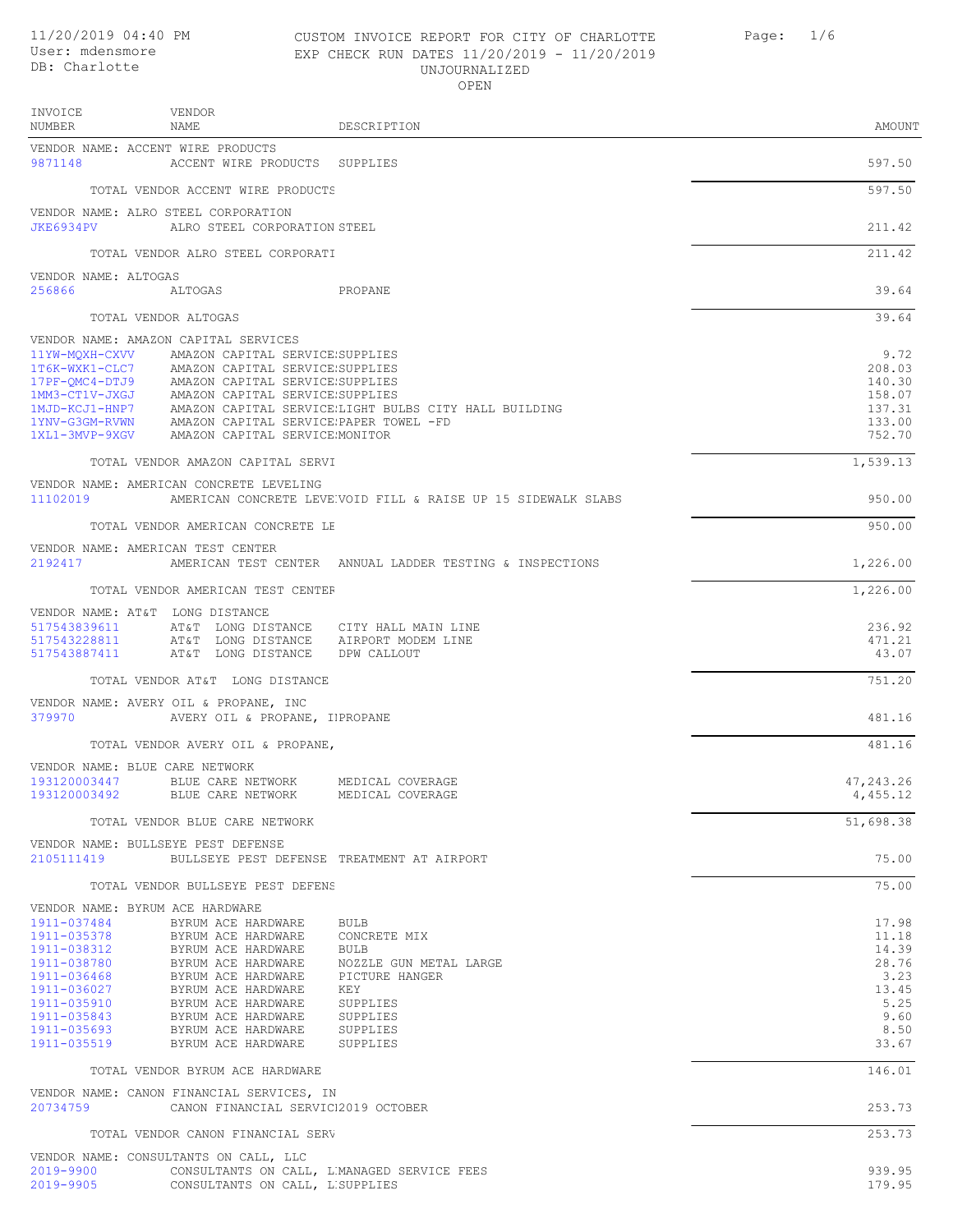# 11/20/2019 04:40 PM CUSTOM INVOICE REPORT FOR CITY OF CHARLOTTE Page: 1/6 User: mdensmore EXP CHECK RUN DATES 11/20/2019 - 11/20/2019 UNJOURNALIZED OPEN

| INVOICE<br>NUMBER                                                                                                                                  | VENDOR<br>NAME                                                                                                                                                                                                                                                                                                                                        | DESCRIPTION                                                                                                                            | AMOUNT                                                                             |
|----------------------------------------------------------------------------------------------------------------------------------------------------|-------------------------------------------------------------------------------------------------------------------------------------------------------------------------------------------------------------------------------------------------------------------------------------------------------------------------------------------------------|----------------------------------------------------------------------------------------------------------------------------------------|------------------------------------------------------------------------------------|
|                                                                                                                                                    | VENDOR NAME: ACCENT WIRE PRODUCTS                                                                                                                                                                                                                                                                                                                     |                                                                                                                                        |                                                                                    |
| 9871148                                                                                                                                            | ACCENT WIRE PRODUCTS SUPPLIES                                                                                                                                                                                                                                                                                                                         |                                                                                                                                        | 597.50                                                                             |
|                                                                                                                                                    | TOTAL VENDOR ACCENT WIRE PRODUCTS                                                                                                                                                                                                                                                                                                                     |                                                                                                                                        | 597.50                                                                             |
|                                                                                                                                                    | VENDOR NAME: ALRO STEEL CORPORATION<br>JKE6934PV ALRO STEEL CORPORATION STEEL                                                                                                                                                                                                                                                                         |                                                                                                                                        | 211.42                                                                             |
|                                                                                                                                                    | TOTAL VENDOR ALRO STEEL CORPORATI                                                                                                                                                                                                                                                                                                                     |                                                                                                                                        | 211.42                                                                             |
| VENDOR NAME: ALTOGAS<br>256866                                                                                                                     | ALTOGAS                                                                                                                                                                                                                                                                                                                                               | PROPANE                                                                                                                                | 39.64                                                                              |
|                                                                                                                                                    | TOTAL VENDOR ALTOGAS                                                                                                                                                                                                                                                                                                                                  |                                                                                                                                        | 39.64                                                                              |
|                                                                                                                                                    | VENDOR NAME: AMAZON CAPITAL SERVICES<br>11YW-MQXH-CXVV AMAZON CAPITAL SERVICE:SUPPLIES<br>1T6K-WXK1-CLC7 AMAZON CAPITAL SERVICE SUPPLIES<br>17PF-QMC4-DTJ9 AMAZON CAPITAL SERVICE SUPPLIES<br>1MM3-CT1V-JXGJ AMAZON CAPITAL SERVICE SUPPLIES<br>1YNV-G3GM-RVWN AMAZON CAPITAL SERVICE PAPER TOWEL -FD<br>1XL1-3MVP-9XGV AMAZON CAPITAL SERVICEMONITOR | 1MJD-KCJ1-HNP7 AMAZON CAPITAL SERVICE;LIGHT BULBS CITY HALL BUILDING                                                                   | 9.72<br>208.03<br>140.30<br>158.07<br>137.31<br>133.00<br>752.70                   |
|                                                                                                                                                    | TOTAL VENDOR AMAZON CAPITAL SERVI                                                                                                                                                                                                                                                                                                                     |                                                                                                                                        | 1,539.13                                                                           |
| 11102019                                                                                                                                           | VENDOR NAME: AMERICAN CONCRETE LEVELING                                                                                                                                                                                                                                                                                                               | AMERICAN CONCRETE LEVE VOID FILL & RAISE UP 15 SIDEWALK SLABS                                                                          | 950.00                                                                             |
|                                                                                                                                                    | TOTAL VENDOR AMERICAN CONCRETE LE                                                                                                                                                                                                                                                                                                                     |                                                                                                                                        | 950.00                                                                             |
| 2192417                                                                                                                                            | VENDOR NAME: AMERICAN TEST CENTER                                                                                                                                                                                                                                                                                                                     | AMERICAN TEST CENTER ANNUAL LADDER TESTING & INSPECTIONS                                                                               | 1,226.00                                                                           |
|                                                                                                                                                    | TOTAL VENDOR AMERICAN TEST CENTEF                                                                                                                                                                                                                                                                                                                     |                                                                                                                                        | 1,226.00                                                                           |
| 517543839611<br>517543228811<br>517543887411                                                                                                       | VENDOR NAME: AT&T LONG DISTANCE<br>AT&T LONG DISTANCE                                                                                                                                                                                                                                                                                                 | AT&T LONG DISTANCE CITY HALL MAIN LINE<br>AT&T LONG DISTANCE AIRPORT MODEM LINE<br>DPW CALLOUT                                         | 236.92<br>471.21<br>43.07                                                          |
|                                                                                                                                                    | TOTAL VENDOR AT&T LONG DISTANCE                                                                                                                                                                                                                                                                                                                       |                                                                                                                                        | 751.20                                                                             |
| 379970                                                                                                                                             | VENDOR NAME: AVERY OIL & PROPANE, INC<br>AVERY OIL & PROPANE, IPROPANE                                                                                                                                                                                                                                                                                |                                                                                                                                        | 481.16                                                                             |
|                                                                                                                                                    | TOTAL VENDOR AVERY OIL & PROPANE,                                                                                                                                                                                                                                                                                                                     |                                                                                                                                        | 481.16                                                                             |
| VENDOR NAME: BLUE CARE NETWORK<br>193120003447<br>193120003492                                                                                     | BLUE CARE NETWORK<br>BLUE CARE NETWORK                                                                                                                                                                                                                                                                                                                | MEDICAL COVERAGE<br>MEDICAL COVERAGE                                                                                                   | 47,243.26<br>4,455.12                                                              |
|                                                                                                                                                    | TOTAL VENDOR BLUE CARE NETWORK                                                                                                                                                                                                                                                                                                                        |                                                                                                                                        | 51,698.38                                                                          |
| 2105111419                                                                                                                                         | VENDOR NAME: BULLSEYE PEST DEFENSE                                                                                                                                                                                                                                                                                                                    | BULLSEYE PEST DEFENSE TREATMENT AT AIRPORT                                                                                             | 75.00                                                                              |
|                                                                                                                                                    | TOTAL VENDOR BULLSEYE PEST DEFENS                                                                                                                                                                                                                                                                                                                     |                                                                                                                                        | 75.00                                                                              |
| 1911-037484<br>1911-035378<br>1911-038312<br>1911-038780<br>1911-036468<br>1911-036027<br>1911-035910<br>1911-035843<br>1911-035693<br>1911-035519 | VENDOR NAME: BYRUM ACE HARDWARE<br>BYRUM ACE HARDWARE<br>BYRUM ACE HARDWARE<br>BYRUM ACE HARDWARE<br>BYRUM ACE HARDWARE<br>BYRUM ACE HARDWARE<br>BYRUM ACE HARDWARE<br>BYRUM ACE HARDWARE<br>BYRUM ACE HARDWARE<br>BYRUM ACE HARDWARE<br>BYRUM ACE HARDWARE                                                                                           | <b>BULB</b><br>CONCRETE MIX<br>BULB<br>NOZZLE GUN METAL LARGE<br>PICTURE HANGER<br>KEY<br>SUPPLIES<br>SUPPLIES<br>SUPPLIES<br>SUPPLIES | 17.98<br>11.18<br>14.39<br>28.76<br>3.23<br>13.45<br>5.25<br>9.60<br>8.50<br>33.67 |
|                                                                                                                                                    | TOTAL VENDOR BYRUM ACE HARDWARE                                                                                                                                                                                                                                                                                                                       |                                                                                                                                        | 146.01                                                                             |
| 20734759                                                                                                                                           | VENDOR NAME: CANON FINANCIAL SERVICES, IN<br>CANON FINANCIAL SERVICI2019 OCTOBER                                                                                                                                                                                                                                                                      |                                                                                                                                        | 253.73                                                                             |
|                                                                                                                                                    | TOTAL VENDOR CANON FINANCIAL SERV                                                                                                                                                                                                                                                                                                                     |                                                                                                                                        | 253.73                                                                             |
| 2019-9900<br>2019-9905                                                                                                                             | VENDOR NAME: CONSULTANTS ON CALL, LLC<br>CONSULTANTS ON CALL, L'SUPPLIES                                                                                                                                                                                                                                                                              | CONSULTANTS ON CALL, L'MANAGED SERVICE FEES                                                                                            | 939.95<br>179.95                                                                   |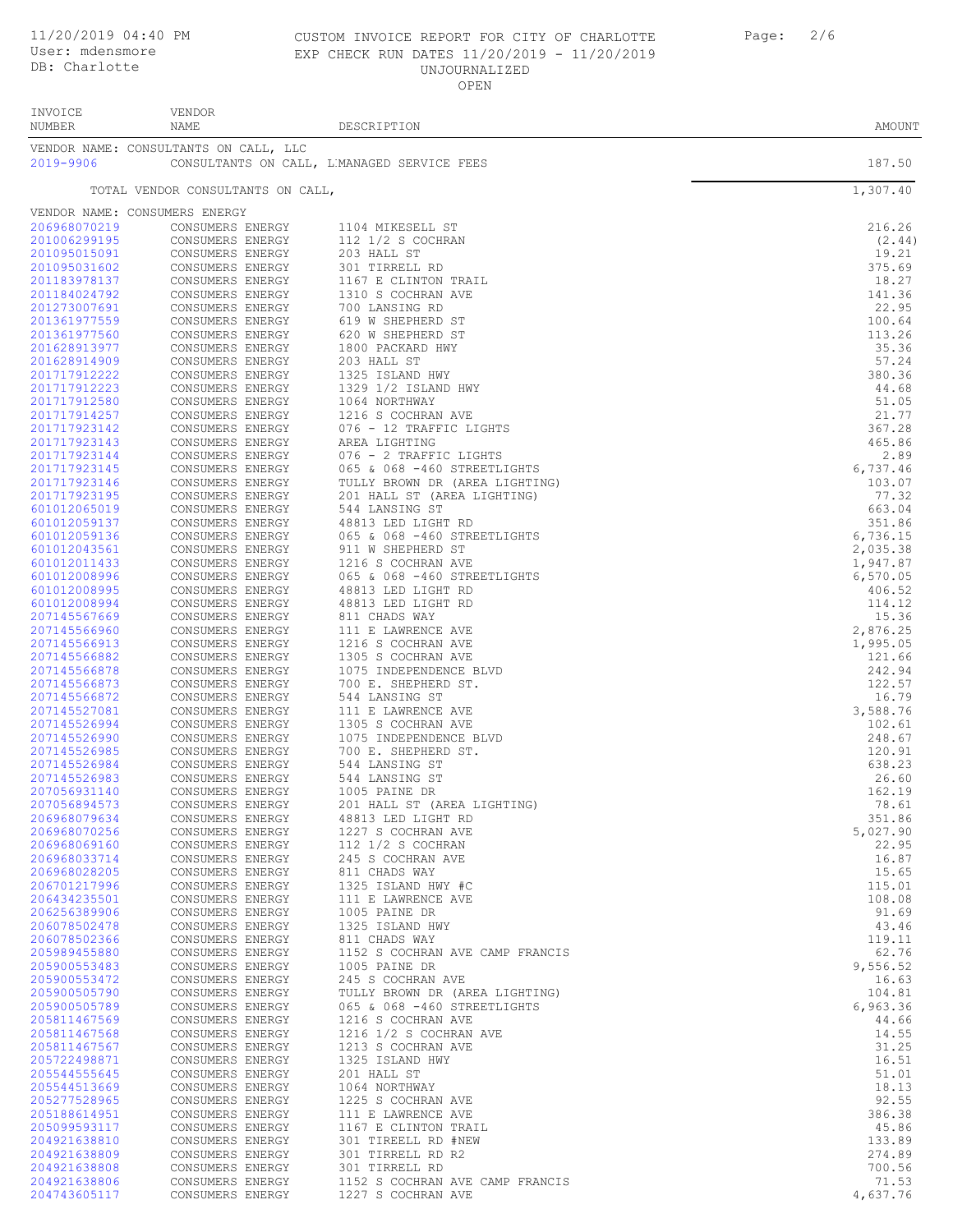# 11/20/2019 04:40 PM CUSTOM INVOICE REPORT FOR CITY OF CHARLOTTE Page: 2/6 EXP CHECK RUN DATES 11/20/2019 - 11/20/2019 UNJOURNALIZED OPEN

| INVOICE<br>NUMBER            | <b>VENDOR</b><br>NAME                 | DESCRIPTION                                                   | AMOUNT               |
|------------------------------|---------------------------------------|---------------------------------------------------------------|----------------------|
| 2019-9906                    | VENDOR NAME: CONSULTANTS ON CALL, LLC | CONSULTANTS ON CALL, L'MANAGED SERVICE FEES                   | 187.50               |
|                              | TOTAL VENDOR CONSULTANTS ON CALL,     |                                                               | 1,307.40             |
|                              | VENDOR NAME: CONSUMERS ENERGY         |                                                               |                      |
| 206968070219                 | CONSUMERS ENERGY                      | 1104 MIKESELL ST                                              | 216.26               |
| 201006299195                 | CONSUMERS ENERGY                      | $112$ $1/2$ S COCHRAN                                         | (2.44)               |
| 201095015091<br>201095031602 | CONSUMERS ENERGY<br>CONSUMERS ENERGY  | 203 HALL ST<br>301 TIRRELL RD                                 | 19.21<br>375.69      |
| 201183978137                 | CONSUMERS ENERGY                      | 1167 E CLINTON TRAIL                                          | 18.27                |
| 201184024792                 | CONSUMERS ENERGY                      | 1310 S COCHRAN AVE                                            | 141.36               |
| 201273007691                 | CONSUMERS ENERGY                      | 700 LANSING RD                                                | 22.95                |
| 201361977559<br>201361977560 | CONSUMERS ENERGY<br>CONSUMERS ENERGY  | 619 W SHEPHERD ST<br>620 W SHEPHERD ST                        | 100.64<br>113.26     |
| 201628913977                 | CONSUMERS ENERGY                      | 1800 PACKARD HWY                                              | 35.36                |
| 201628914909                 | CONSUMERS ENERGY                      | 203 HALL ST                                                   | 57.24                |
| 201717912222                 | CONSUMERS ENERGY                      | 1325 ISLAND HWY                                               | 380.36               |
| 201717912223                 | CONSUMERS ENERGY                      | 1329 1/2 ISLAND HWY                                           | 44.68                |
| 201717912580<br>201717914257 | CONSUMERS ENERGY<br>CONSUMERS ENERGY  | 1064 NORTHWAY<br>1216 S COCHRAN AVE                           | 51.05<br>21.77       |
| 201717923142                 | CONSUMERS ENERGY                      | 076 - 12 TRAFFIC LIGHTS                                       | 367.28               |
| 201717923143                 | CONSUMERS ENERGY                      | AREA LIGHTING                                                 | 465.86               |
| 201717923144                 | CONSUMERS ENERGY                      | 076 - 2 TRAFFIC LIGHTS                                        | 2.89                 |
| 201717923145<br>201717923146 | CONSUMERS ENERGY<br>CONSUMERS ENERGY  | 065 & 068 -460 STREETLIGHTS<br>TULLY BROWN DR (AREA LIGHTING) | 6,737.46<br>103.07   |
| 201717923195                 | CONSUMERS ENERGY                      | 201 HALL ST (AREA LIGHTING)                                   | 77.32                |
| 601012065019                 | CONSUMERS ENERGY                      | 544 LANSING ST                                                | 663.04               |
| 601012059137                 | CONSUMERS ENERGY                      | 48813 LED LIGHT RD                                            | 351.86               |
| 601012059136                 | CONSUMERS ENERGY                      | 065 & 068 -460 STREETLIGHTS                                   | 6,736.15             |
| 601012043561<br>601012011433 | CONSUMERS ENERGY<br>CONSUMERS ENERGY  | 911 W SHEPHERD ST<br>1216 S COCHRAN AVE                       | 2,035.38             |
| 601012008996                 | CONSUMERS ENERGY                      | 065 & 068 -460 STREETLIGHTS                                   | 1,947.87<br>6,570.05 |
| 601012008995                 | CONSUMERS ENERGY                      | 48813 LED LIGHT RD                                            | 406.52               |
| 601012008994                 | CONSUMERS ENERGY                      | 48813 LED LIGHT RD                                            | 114.12               |
| 207145567669                 | CONSUMERS ENERGY                      | 811 CHADS WAY                                                 | 15.36                |
| 207145566960<br>207145566913 | CONSUMERS ENERGY<br>CONSUMERS ENERGY  | 111 E LAWRENCE AVE<br>1216 S COCHRAN AVE                      | 2,876.25<br>1,995.05 |
| 207145566882                 | CONSUMERS ENERGY                      | 1305 S COCHRAN AVE                                            | 121.66               |
| 207145566878                 | CONSUMERS ENERGY                      | 1075 INDEPENDENCE BLVD                                        | 242.94               |
| 207145566873                 | CONSUMERS ENERGY                      | 700 E. SHEPHERD ST.                                           | 122.57               |
| 207145566872                 | CONSUMERS ENERGY                      | 544 LANSING ST                                                | 16.79                |
| 207145527081<br>207145526994 | CONSUMERS ENERGY<br>CONSUMERS ENERGY  | 111 E LAWRENCE AVE<br>1305 S COCHRAN AVE                      | 3,588.76<br>102.61   |
| 207145526990                 | CONSUMERS ENERGY                      | 1075 INDEPENDENCE BLVD                                        | 248.67               |
| 207145526985                 | CONSUMERS ENERGY                      | 700 E. SHEPHERD ST.                                           | 120.91               |
| 207145526984                 | CONSUMERS ENERGY                      | 544 LANSING ST                                                | 638.23               |
| 207145526983                 | CONSUMERS ENERGY                      | 544 LANSING ST<br>1005 PAINE DR                               | 26.60<br>162.19      |
| 207056931140<br>207056894573 | CONSUMERS ENERGY<br>CONSUMERS ENERGY  | 201 HALL ST (AREA LIGHTING)                                   | 78.61                |
| 206968079634                 | CONSUMERS ENERGY                      | 48813 LED LIGHT RD                                            | 351.86               |
| 206968070256                 | CONSUMERS ENERGY                      | 1227 S COCHRAN AVE                                            | 5,027.90             |
| 206968069160                 | CONSUMERS ENERGY                      | 112 1/2 S COCHRAN                                             | 22.95                |
| 206968033714<br>206968028205 | CONSUMERS ENERGY<br>CONSUMERS ENERGY  | 245 S COCHRAN AVE<br>811 CHADS WAY                            | 16.87<br>15.65       |
| 206701217996                 | CONSUMERS ENERGY                      | 1325 ISLAND HWY #C                                            | 115.01               |
| 206434235501                 | CONSUMERS ENERGY                      | 111 E LAWRENCE AVE                                            | 108.08               |
| 206256389906                 | CONSUMERS ENERGY                      | 1005 PAINE DR                                                 | 91.69                |
| 206078502478<br>206078502366 | CONSUMERS ENERGY<br>CONSUMERS ENERGY  | 1325 ISLAND HWY                                               | 43.46                |
| 205989455880                 | CONSUMERS ENERGY                      | 811 CHADS WAY<br>1152 S COCHRAN AVE CAMP FRANCIS              | 119.11<br>62.76      |
| 205900553483                 | CONSUMERS ENERGY                      | 1005 PAINE DR                                                 | 9,556.52             |
| 205900553472                 | CONSUMERS ENERGY                      | 245 S COCHRAN AVE                                             | 16.63                |
| 205900505790                 | CONSUMERS ENERGY                      | TULLY BROWN DR (AREA LIGHTING)                                | 104.81               |
| 205900505789                 | CONSUMERS ENERGY                      | 065 & 068 -460 STREETLIGHTS                                   | 6,963.36             |
| 205811467569<br>205811467568 | CONSUMERS ENERGY<br>CONSUMERS ENERGY  | 1216 S COCHRAN AVE<br>1216 1/2 S COCHRAN AVE                  | 44.66<br>14.55       |
| 205811467567                 | CONSUMERS ENERGY                      | 1213 S COCHRAN AVE                                            | 31.25                |
| 205722498871                 | CONSUMERS ENERGY                      | 1325 ISLAND HWY                                               | 16.51                |
| 205544555645                 | CONSUMERS ENERGY                      | 201 HALL ST                                                   | 51.01                |
| 205544513669                 | CONSUMERS ENERGY                      | 1064 NORTHWAY                                                 | 18.13                |
| 205277528965<br>205188614951 | CONSUMERS ENERGY<br>CONSUMERS ENERGY  | 1225 S COCHRAN AVE<br>111 E LAWRENCE AVE                      | 92.55<br>386.38      |
| 205099593117                 | CONSUMERS ENERGY                      | 1167 E CLINTON TRAIL                                          | 45.86                |
| 204921638810                 | CONSUMERS ENERGY                      | 301 TIREELL RD #NEW                                           | 133.89               |
| 204921638809                 | CONSUMERS ENERGY                      | 301 TIRRELL RD R2                                             | 274.89               |
| 204921638808<br>204921638806 | CONSUMERS ENERGY                      | 301 TIRRELL RD<br>1152 S COCHRAN AVE CAMP FRANCIS             | 700.56<br>71.53      |
| 204743605117                 | CONSUMERS ENERGY<br>CONSUMERS ENERGY  | 1227 S COCHRAN AVE                                            | 4,637.76             |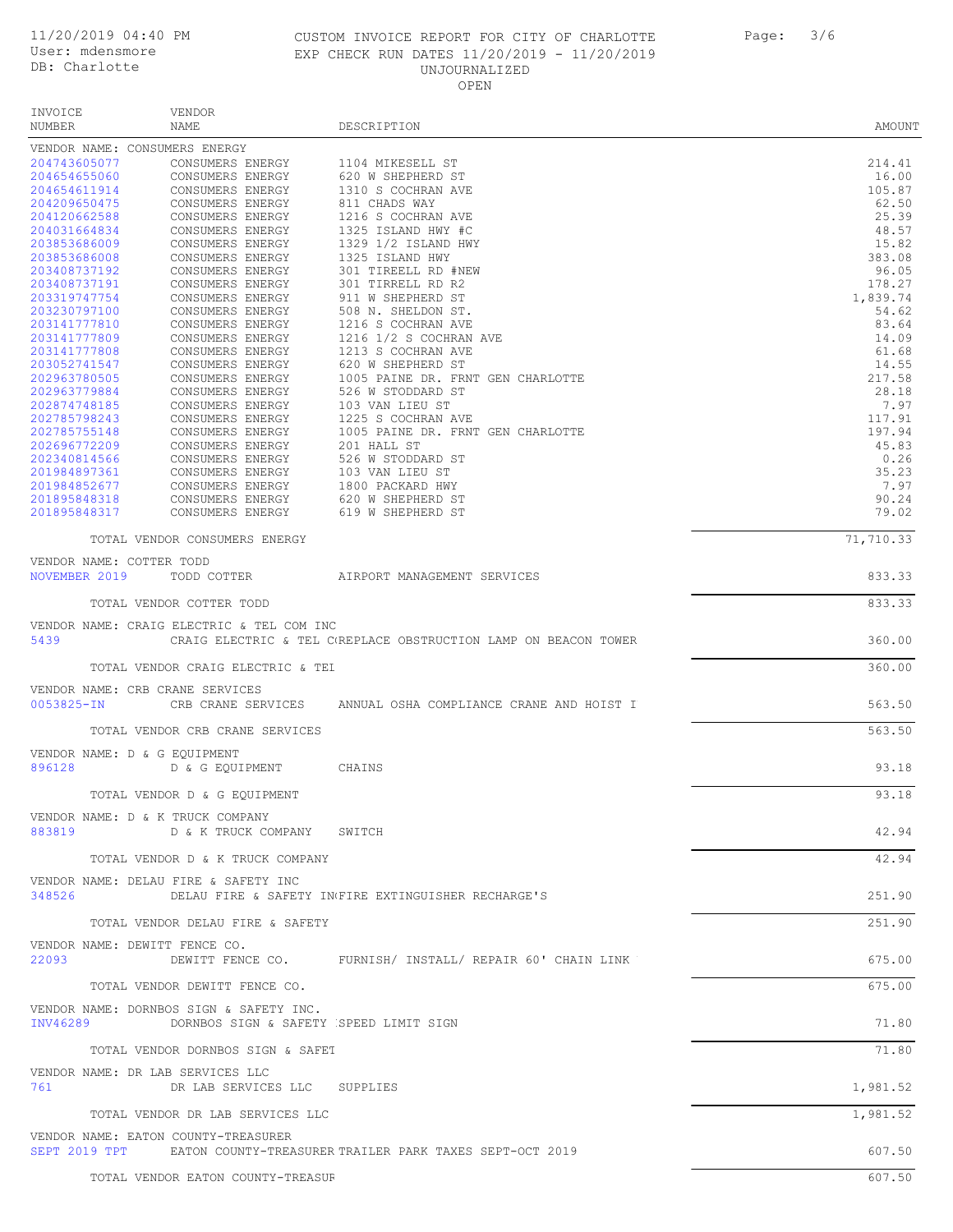VENDOR INVOICE

# 11/20/2019 04:40 PM CUSTOM INVOICE REPORT FOR CITY OF CHARLOTTE Page: 3/6 User: mdensmore EXP CHECK RUN DATES 11/20/2019 - 11/20/2019 UNJOURNALIZED OPEN

| 3/6<br>Page: |  |
|--------------|--|
|--------------|--|

| NUMBER                       | NAME                                      | DESCRIPTION                                                           | AMOUNT         |
|------------------------------|-------------------------------------------|-----------------------------------------------------------------------|----------------|
|                              | VENDOR NAME: CONSUMERS ENERGY             |                                                                       |                |
| 204743605077                 | CONSUMERS ENERGY                          | 1104 MIKESELL ST                                                      | 214.41         |
| 204654655060                 | CONSUMERS ENERGY                          | 620 W SHEPHERD ST                                                     | 16.00          |
| 204654611914                 | CONSUMERS ENERGY                          | 1310 S COCHRAN AVE                                                    | 105.87         |
| 204209650475                 | CONSUMERS ENERGY                          | 811 CHADS WAY                                                         | 62.50          |
| 204120662588<br>204031664834 | CONSUMERS ENERGY<br>CONSUMERS ENERGY      | 1216 S COCHRAN AVE<br>1325 ISLAND HWY #C                              | 25.39<br>48.57 |
| 203853686009                 | CONSUMERS ENERGY                          | 1329 1/2 ISLAND HWY                                                   | 15.82          |
| 203853686008                 | CONSUMERS ENERGY                          | 1325 ISLAND HWY                                                       | 383.08         |
| 203408737192                 | CONSUMERS ENERGY                          | 301 TIREELL RD #NEW                                                   | 96.05          |
| 203408737191                 | CONSUMERS ENERGY                          | 301 TIRRELL RD R2                                                     | 178.27         |
| 203319747754                 | CONSUMERS ENERGY                          | 911 W SHEPHERD ST                                                     | 1,839.74       |
| 203230797100                 | CONSUMERS ENERGY                          | 508 N. SHELDON ST.                                                    | 54.62          |
| 203141777810                 | CONSUMERS ENERGY                          | 1216 S COCHRAN AVE                                                    | 83.64          |
| 203141777809                 | CONSUMERS ENERGY                          | 1216 1/2 S COCHRAN AVE                                                | 14.09          |
| 203141777808<br>203052741547 | CONSUMERS ENERGY<br>CONSUMERS ENERGY      | 1213 S COCHRAN AVE<br>620 W SHEPHERD ST                               | 61.68<br>14.55 |
| 202963780505                 | CONSUMERS ENERGY                          | 1005 PAINE DR. FRNT GEN CHARLOTTE                                     | 217.58         |
| 202963779884                 | CONSUMERS ENERGY                          | 526 W STODDARD ST                                                     | 28.18          |
| 202874748185                 | CONSUMERS ENERGY                          | 103 VAN LIEU ST                                                       | 7.97           |
| 202785798243                 | CONSUMERS ENERGY                          | 1225 S COCHRAN AVE                                                    | 117.91         |
| 202785755148                 | CONSUMERS ENERGY                          | 1005 PAINE DR. FRNT GEN CHARLOTTE                                     | 197.94         |
| 202696772209                 | CONSUMERS ENERGY                          | 201 HALL ST                                                           | 45.83          |
| 202340814566                 | CONSUMERS ENERGY                          | 526 W STODDARD ST                                                     | 0.26           |
| 201984897361                 | CONSUMERS ENERGY                          | 103 VAN LIEU ST                                                       | 35.23          |
| 201984852677<br>201895848318 | CONSUMERS ENERGY<br>CONSUMERS ENERGY      | 1800 PACKARD HWY<br>620 W SHEPHERD ST                                 | 7.97<br>90.24  |
| 201895848317                 | CONSUMERS ENERGY                          | 619 W SHEPHERD ST                                                     | 79.02          |
|                              |                                           |                                                                       |                |
|                              | TOTAL VENDOR CONSUMERS ENERGY             |                                                                       | 71,710.33      |
| VENDOR NAME: COTTER TODD     |                                           |                                                                       |                |
| NOVEMBER 2019                | TODD COTTER                               | AIRPORT MANAGEMENT SERVICES                                           | 833.33         |
|                              |                                           |                                                                       |                |
|                              | TOTAL VENDOR COTTER TODD                  |                                                                       | 833.33         |
|                              | VENDOR NAME: CRAIG ELECTRIC & TEL COM INC |                                                                       |                |
| 5439                         |                                           | CRAIG ELECTRIC & TEL C(REPLACE OBSTRUCTION LAMP ON BEACON TOWER       | 360.00         |
|                              |                                           |                                                                       |                |
|                              | TOTAL VENDOR CRAIG ELECTRIC & TEL         |                                                                       | 360.00         |
|                              |                                           |                                                                       |                |
|                              | VENDOR NAME: CRB CRANE SERVICES           |                                                                       |                |
| 0053825-IN                   | CRB CRANE SERVICES                        | ANNUAL OSHA COMPLIANCE CRANE AND HOIST I                              | 563.50         |
|                              | TOTAL VENDOR CRB CRANE SERVICES           |                                                                       | 563.50         |
|                              |                                           |                                                                       |                |
|                              | VENDOR NAME: D & G EQUIPMENT              |                                                                       |                |
| 896128                       | D & G EOUIPMENT                           | CHAINS                                                                | 93.18          |
|                              |                                           |                                                                       |                |
|                              | TOTAL VENDOR D & G EQUIPMENT              |                                                                       | 93.18          |
|                              | VENDOR NAME: D & K TRUCK COMPANY          |                                                                       |                |
| 883819                       | D & K TRUCK COMPANY SWITCH                |                                                                       | 42.94          |
|                              |                                           |                                                                       |                |
|                              | TOTAL VENDOR D & K TRUCK COMPANY          |                                                                       | 42.94          |
|                              | VENDOR NAME: DELAU FIRE & SAFETY INC      |                                                                       |                |
| 348526                       |                                           | DELAU FIRE & SAFETY IN FIRE EXTINGUISHER RECHARGE'S                   | 251.90         |
|                              |                                           |                                                                       |                |
|                              | TOTAL VENDOR DELAU FIRE & SAFETY          |                                                                       | 251.90         |
|                              |                                           |                                                                       |                |
|                              | VENDOR NAME: DEWITT FENCE CO.             | DEWITT FENCE CO. FURNISH/ INSTALL/ REPAIR 60' CHAIN LINK              | 675.00         |
| 22093                        |                                           |                                                                       |                |
|                              | TOTAL VENDOR DEWITT FENCE CO.             |                                                                       | 675.00         |
|                              |                                           |                                                                       |                |
|                              | VENDOR NAME: DORNBOS SIGN & SAFETY INC.   |                                                                       |                |
| INV46289                     | DORNBOS SIGN & SAFETY SPEED LIMIT SIGN    |                                                                       | 71.80          |
|                              | TOTAL VENDOR DORNBOS SIGN & SAFET         |                                                                       | 71.80          |
|                              |                                           |                                                                       |                |
|                              | VENDOR NAME: DR LAB SERVICES LLC          |                                                                       |                |
| 761                          | DR LAB SERVICES LLC SUPPLIES              |                                                                       | 1,981.52       |
|                              |                                           |                                                                       |                |
|                              | TOTAL VENDOR DR LAB SERVICES LLC          |                                                                       | 1,981.52       |
|                              | VENDOR NAME: EATON COUNTY-TREASURER       |                                                                       |                |
|                              |                                           | SEPT 2019 TPT EATON COUNTY-TREASURER TRAILER PARK TAXES SEPT-OCT 2019 | 607.50         |
|                              | TOTAL VENDOR EATON COUNTY-TREASUF         |                                                                       | 607.50         |
|                              |                                           |                                                                       |                |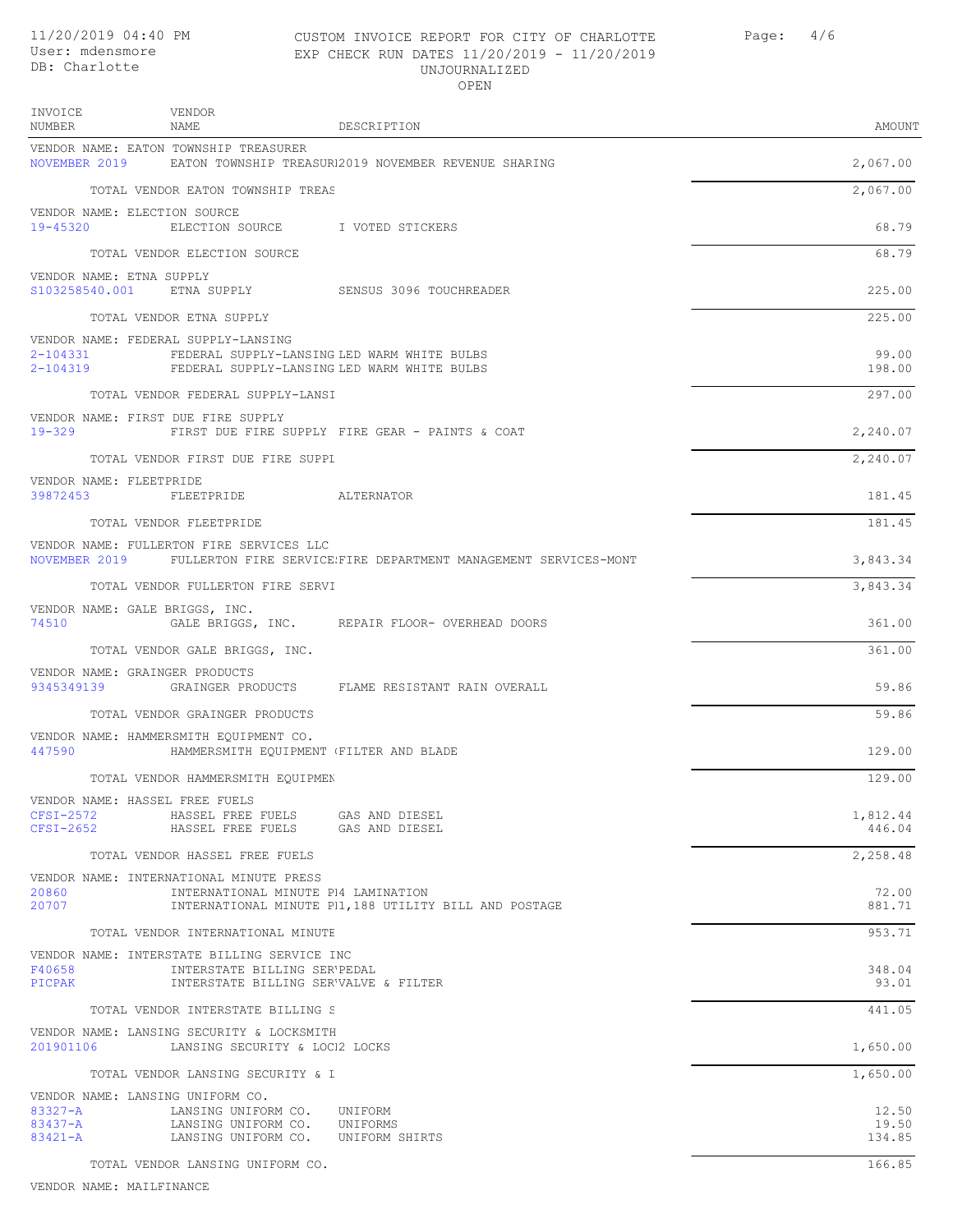# 11/20/2019 04:40 PM CUSTOM INVOICE REPORT FOR CITY OF CHARLOTTE Page: 4/6 User: mdensmore EXP CHECK RUN DATES 11/20/2019 - 11/20/2019 UNJOURNALIZED OPEN

| INVOICE<br>NUMBER<br>NAME                                                                                                                           | VENDOR                                                                                   | DESCRIPTION                                                                   | AMOUNT                   |
|-----------------------------------------------------------------------------------------------------------------------------------------------------|------------------------------------------------------------------------------------------|-------------------------------------------------------------------------------|--------------------------|
| VENDOR NAME: EATON TOWNSHIP TREASURER                                                                                                               |                                                                                          | NOVEMBER 2019 EATON TOWNSHIP TREASURI2019 NOVEMBER REVENUE SHARING            | 2,067.00                 |
|                                                                                                                                                     | TOTAL VENDOR EATON TOWNSHIP TREAS                                                        |                                                                               | 2,067.00                 |
| VENDOR NAME: ELECTION SOURCE<br>19-45320                                                                                                            | ELECTION SOURCE I VOTED STICKERS                                                         |                                                                               | 68.79                    |
|                                                                                                                                                     | TOTAL VENDOR ELECTION SOURCE                                                             |                                                                               | 68.79                    |
| VENDOR NAME: ETNA SUPPLY                                                                                                                            |                                                                                          | S103258540.001 ETNA SUPPLY SENSUS 3096 TOUCHREADER                            | 225.00                   |
| TOTAL VENDOR ETNA SUPPLY                                                                                                                            |                                                                                          |                                                                               | 225.00                   |
| VENDOR NAME: FEDERAL SUPPLY-LANSING<br>2-104331 FEDERAL SUPPLY-LANSING LED WARM WHITE BULBS<br>2-104319 FEDERAL SUPPLY-LANSING LED WARM WHITE BULBS |                                                                                          |                                                                               | 99.00<br>198.00          |
|                                                                                                                                                     | TOTAL VENDOR FEDERAL SUPPLY-LANSI                                                        |                                                                               | 297.00                   |
| VENDOR NAME: FIRST DUE FIRE SUPPLY<br>$19 - 329$                                                                                                    |                                                                                          | FIRST DUE FIRE SUPPLY FIRE GEAR - PAINTS & COAT                               | 2,240.07                 |
|                                                                                                                                                     | TOTAL VENDOR FIRST DUE FIRE SUPPI                                                        |                                                                               | 2,240.07                 |
| VENDOR NAME: FLEETPRIDE                                                                                                                             |                                                                                          |                                                                               |                          |
| 39872453 FLEETPRIDE ALTERNATOR                                                                                                                      |                                                                                          |                                                                               | 181.45                   |
| TOTAL VENDOR FLEETPRIDE                                                                                                                             |                                                                                          |                                                                               | 181.45                   |
| VENDOR NAME: FULLERTON FIRE SERVICES LLC                                                                                                            |                                                                                          | NOVEMBER 2019 FULLERTON FIRE SERVICE FIRE DEPARTMENT MANAGEMENT SERVICES-MONT | 3,843.34                 |
|                                                                                                                                                     | TOTAL VENDOR FULLERTON FIRE SERVI                                                        |                                                                               | 3,843.34                 |
| VENDOR NAME: GALE BRIGGS, INC.<br>74510                                                                                                             |                                                                                          | GALE BRIGGS, INC. REPAIR FLOOR- OVERHEAD DOORS                                | 361.00                   |
|                                                                                                                                                     | TOTAL VENDOR GALE BRIGGS, INC.                                                           |                                                                               | 361.00                   |
| VENDOR NAME: GRAINGER PRODUCTS                                                                                                                      |                                                                                          | 9345349139 GRAINGER PRODUCTS FLAME RESISTANT RAIN OVERALL                     | 59.86                    |
|                                                                                                                                                     | TOTAL VENDOR GRAINGER PRODUCTS                                                           |                                                                               | 59.86                    |
| VENDOR NAME: HAMMERSMITH EQUIPMENT CO.<br>447590                                                                                                    | HAMMERSMITH EQUIPMENT (FILTER AND BLADE                                                  |                                                                               | 129.00                   |
|                                                                                                                                                     | TOTAL VENDOR HAMMERSMITH EQUIPMEN                                                        |                                                                               | 129.00                   |
| VENDOR NAME: HASSEL FREE FUELS<br>CFSI-2572<br>$CFSI-2652$                                                                                          | HASSEL FREE FUELS<br>HASSEL FREE FUELS                                                   | GAS AND DIESEL<br>GAS AND DIESEL                                              | 1,812.44<br>446.04       |
|                                                                                                                                                     | TOTAL VENDOR HASSEL FREE FUELS                                                           |                                                                               | 2,258.48                 |
| VENDOR NAME: INTERNATIONAL MINUTE PRESS<br>20860                                                                                                    | INTERNATIONAL MINUTE P14 LAMINATION                                                      |                                                                               | 72.00                    |
| 20707                                                                                                                                               |                                                                                          | INTERNATIONAL MINUTE P1, 188 UTILITY BILL AND POSTAGE                         | 881.71                   |
|                                                                                                                                                     | TOTAL VENDOR INTERNATIONAL MINUTE                                                        |                                                                               | 953.71                   |
| VENDOR NAME: INTERSTATE BILLING SERVICE INC<br>F40658<br>PICPAK                                                                                     | INTERSTATE BILLING SER'PEDAL<br>INTERSTATE BILLING SER'VALVE & FILTER                    |                                                                               | 348.04<br>93.01          |
|                                                                                                                                                     | TOTAL VENDOR INTERSTATE BILLING S                                                        |                                                                               | 441.05                   |
| VENDOR NAME: LANSING SECURITY & LOCKSMITH<br>201901106 LANSING SECURITY & LOCI2 LOCKS                                                               |                                                                                          |                                                                               | 1,650.00                 |
|                                                                                                                                                     | TOTAL VENDOR LANSING SECURITY & I                                                        |                                                                               | 1,650.00                 |
| VENDOR NAME: LANSING UNIFORM CO.                                                                                                                    |                                                                                          |                                                                               |                          |
| $83327 - A$<br>83437-A<br>83421-A                                                                                                                   | LANSING UNIFORM CO. UNIFORM<br>LANSING UNIFORM CO.<br>LANSING UNIFORM CO. UNIFORM SHIRTS | UNIFORMS                                                                      | 12.50<br>19.50<br>134.85 |
|                                                                                                                                                     | TOTAL VENDOR LANSING UNIFORM CO.                                                         |                                                                               | 166.85                   |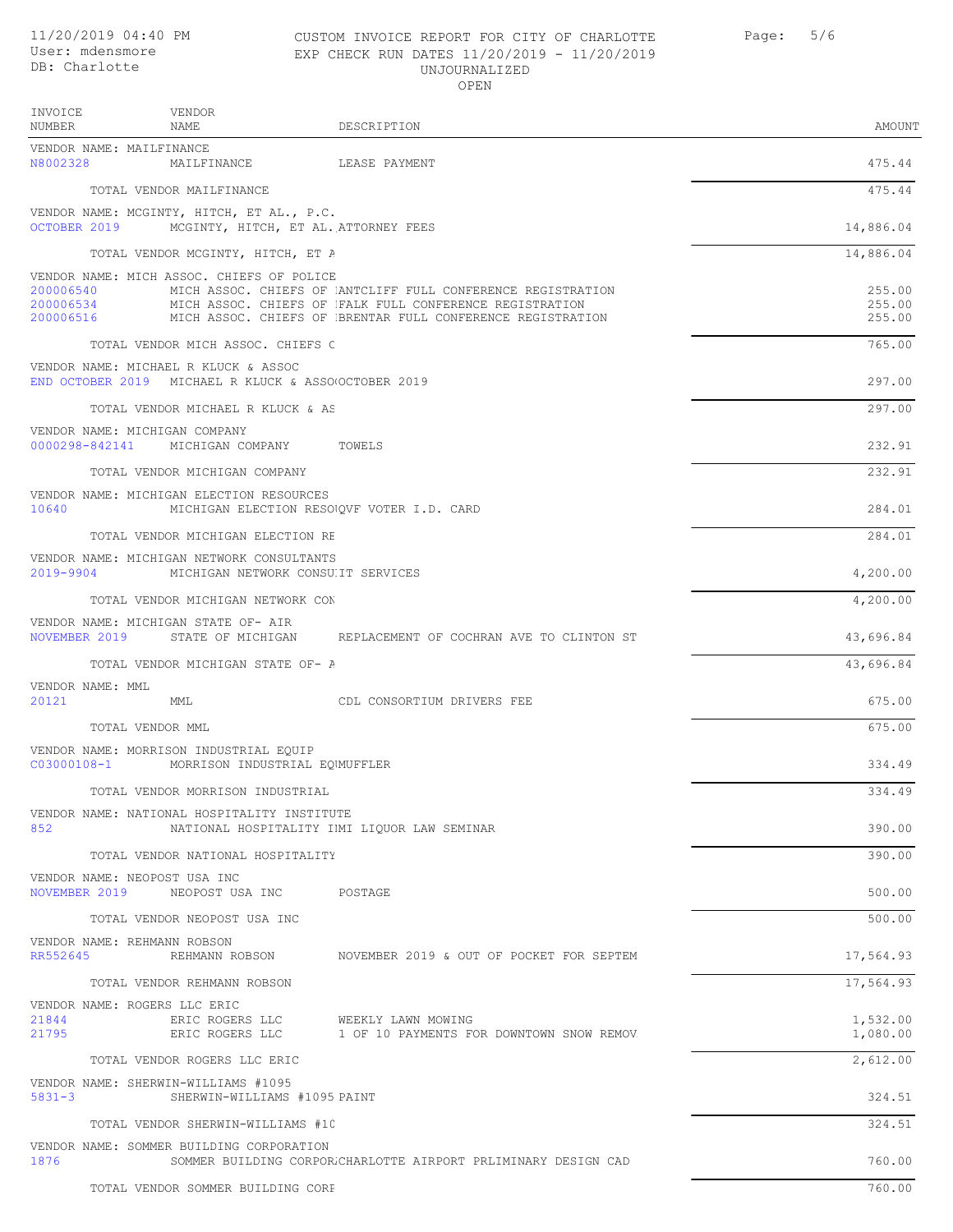INVOICE

VENDOR

# 11/20/2019 04:40 PM CUSTOM INVOICE REPORT FOR CITY OF CHARLOTTE Page: 5/6 User: mdensmore EXP CHECK RUN DATES 11/20/2019 - 11/20/2019 UNJOURNALIZED OPEN

| NUMBER                                  | NAME                                                                                         | DESCRIPTION                                                                                                                     | AMOUNT           |
|-----------------------------------------|----------------------------------------------------------------------------------------------|---------------------------------------------------------------------------------------------------------------------------------|------------------|
| VENDOR NAME: MAILFINANCE<br>N8002328    | MAILFINANCE                                                                                  | LEASE PAYMENT                                                                                                                   | 475.44           |
|                                         | TOTAL VENDOR MAILFINANCE                                                                     |                                                                                                                                 | 475.44           |
| OCTOBER 2019                            | VENDOR NAME: MCGINTY, HITCH, ET AL., P.C.<br>MCGINTY, HITCH, ET AL. ATTORNEY FEES            |                                                                                                                                 | 14,886.04        |
|                                         | TOTAL VENDOR MCGINTY, HITCH, ET A                                                            |                                                                                                                                 | 14,886.04        |
|                                         | VENDOR NAME: MICH ASSOC. CHIEFS OF POLICE                                                    |                                                                                                                                 |                  |
| 200006540<br>200006534                  |                                                                                              | MICH ASSOC. CHIEFS OF ANTCLIFF FULL CONFERENCE REGISTRATION                                                                     | 255.00<br>255.00 |
|                                         |                                                                                              | MICH ASSOC. CHIEFS OF FALK FULL CONFERENCE REGISTRATION<br>200006516 MICH ASSOC. CHIEFS OF BRENTAR FULL CONFERENCE REGISTRATION | 255.00           |
|                                         |                                                                                              |                                                                                                                                 |                  |
|                                         | TOTAL VENDOR MICH ASSOC. CHIEFS C                                                            |                                                                                                                                 | 765.00           |
|                                         | VENDOR NAME: MICHAEL R KLUCK & ASSOC<br>END OCTOBER 2019 MICHAEL R KLUCK & ASSO OCTOBER 2019 |                                                                                                                                 | 297.00           |
|                                         | TOTAL VENDOR MICHAEL R KLUCK & AS                                                            |                                                                                                                                 | 297.00           |
| VENDOR NAME: MICHIGAN COMPANY           |                                                                                              |                                                                                                                                 |                  |
|                                         | 0000298-842141 MICHIGAN COMPANY TOWELS                                                       |                                                                                                                                 | 232.91           |
|                                         | TOTAL VENDOR MICHIGAN COMPANY                                                                |                                                                                                                                 | 232.91           |
|                                         | VENDOR NAME: MICHIGAN ELECTION RESOURCES                                                     |                                                                                                                                 |                  |
| 10640                                   | MICHIGAN ELECTION RESONQVF VOTER I.D. CARD                                                   |                                                                                                                                 | 284.01           |
|                                         | TOTAL VENDOR MICHIGAN ELECTION RE                                                            |                                                                                                                                 | 284.01           |
|                                         | VENDOR NAME: MICHIGAN NETWORK CONSULTANTS                                                    |                                                                                                                                 |                  |
| 2019-9904                               | MICHIGAN NETWORK CONSUIT SERVICES                                                            |                                                                                                                                 | 4,200.00         |
|                                         | TOTAL VENDOR MICHIGAN NETWORK CON                                                            |                                                                                                                                 | 4,200.00         |
|                                         | VENDOR NAME: MICHIGAN STATE OF- AIR                                                          |                                                                                                                                 |                  |
|                                         |                                                                                              | NOVEMBER 2019 STATE OF MICHIGAN REPLACEMENT OF COCHRAN AVE TO CLINTON ST                                                        | 43,696.84        |
|                                         | TOTAL VENDOR MICHIGAN STATE OF- A                                                            |                                                                                                                                 | 43,696.84        |
| VENDOR NAME: MML<br>20121               | MML                                                                                          | CDL CONSORTIUM DRIVERS FEE                                                                                                      | 675.00           |
|                                         | TOTAL VENDOR MML                                                                             |                                                                                                                                 | 675.00           |
|                                         | VENDOR NAME: MORRISON INDUSTRIAL EQUIP                                                       |                                                                                                                                 |                  |
| C03000108-1                             | MORRISON INDUSTRIAL EOWUFFLER                                                                |                                                                                                                                 | 334.49           |
|                                         | TOTAL VENDOR MORRISON INDUSTRIAL                                                             |                                                                                                                                 | 334.49           |
| 852                                     | VENDOR NAME: NATIONAL HOSPITALITY INSTITUTE                                                  | NATIONAL HOSPITALITY IMI LIQUOR LAW SEMINAR                                                                                     | 390.00           |
|                                         | TOTAL VENDOR NATIONAL HOSPITALITY                                                            |                                                                                                                                 | 390.00           |
| VENDOR NAME: NEOPOST USA INC            |                                                                                              |                                                                                                                                 |                  |
| NOVEMBER 2019                           | NEOPOST USA INC POSTAGE                                                                      |                                                                                                                                 | 500.00           |
|                                         | TOTAL VENDOR NEOPOST USA INC                                                                 |                                                                                                                                 | 500.00           |
| VENDOR NAME: REHMANN ROBSON<br>RR552645 | REHMANN ROBSON                                                                               | NOVEMBER 2019 & OUT OF POCKET FOR SEPTEM                                                                                        | 17,564.93        |
|                                         | TOTAL VENDOR REHMANN ROBSON                                                                  |                                                                                                                                 | 17,564.93        |
| VENDOR NAME: ROGERS LLC ERIC            |                                                                                              |                                                                                                                                 |                  |
| 21844                                   | ERIC ROGERS LLC                                                                              | WEEKLY LAWN MOWING                                                                                                              | 1,532.00         |
| 21795                                   |                                                                                              | ERIC ROGERS LLC 1 OF 10 PAYMENTS FOR DOWNTOWN SNOW REMOV.                                                                       | 1,080.00         |
|                                         | TOTAL VENDOR ROGERS LLC ERIC                                                                 |                                                                                                                                 | 2,612.00         |
|                                         | VENDOR NAME: SHERWIN-WILLIAMS #1095                                                          |                                                                                                                                 |                  |
| $5831 - 3$                              | SHERWIN-WILLIAMS #1095 PAINT                                                                 |                                                                                                                                 | 324.51           |
|                                         | TOTAL VENDOR SHERWIN-WILLIAMS #10                                                            |                                                                                                                                 | 324.51           |
| 1876                                    | VENDOR NAME: SOMMER BUILDING CORPORATION                                                     |                                                                                                                                 | 760.00           |
|                                         |                                                                                              | SOMMER BUILDING CORPOR. CHARLOTTE AIRPORT PRLIMINARY DESIGN CAD                                                                 |                  |